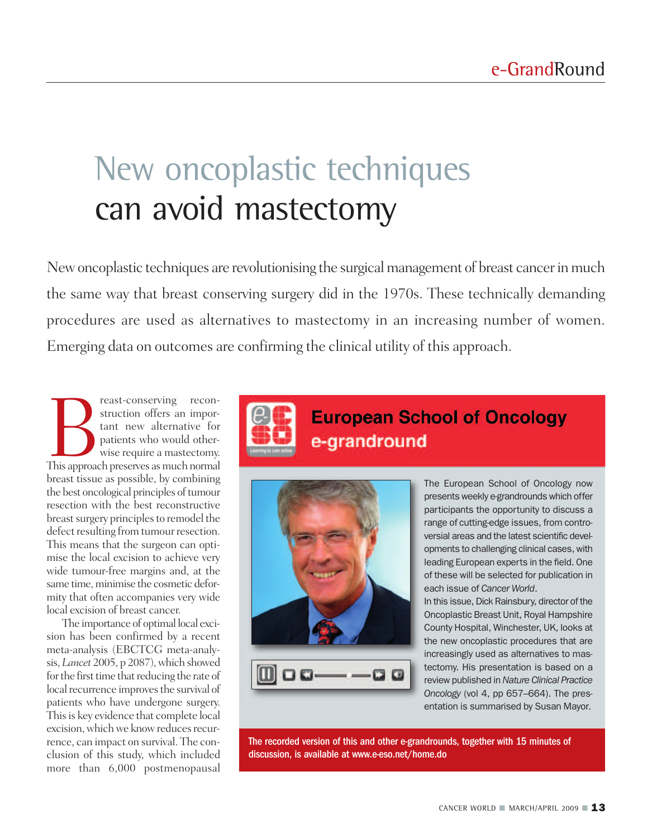# New oncoplastic techniques can avoid mastectomy

New oncoplastic techniques are revolutionising the surgical management of breast cancer in much the same way that breast conserving surgery did in the 1970s. These technically demanding procedures are used as alternatives to mastectomy in an increasing number of women. Emerging data on outcomes are confirming the clinical utility of this approach.

Francisconserving reconstruction offers an important new alternative for patients who would otherwise require a mastectomy.<br>This approach preserves as much normal struction offers an important new alternative for patients who would otherwise require a mastectomy. breast tissue as possible, by combining the best oncological principles of tumour resection with the best reconstructive breast surgery principles to remodel the defect resulting from tumour resection. This means that the surgeon can optimise the local excision to achieve very wide tumour-free margins and, at the same time, minimise the cosmetic deformity that often accompanies very wide local excision of breast cancer.

The importance of optimal local excision has been confirmed by a recent meta-analysis (EBCTCG meta-analysis, *Lancet* 2005, p 2087), which showed for the first time that reducing the rate of local recurrence improves the survival of patients who have undergone surgery. This is key evidence that complete local excision, which we know reduces recurrence, can impact on survival. The conclusion of this study, which included more than 6,000 postmenopausal



# **European School of Oncology** e-grandround



The European School of Oncology now presents weekly e-grandrounds which offer participants the opportunity to discuss a range of cutting-edge issues, from controversial areas and the latest scientific developments to challenging clinical cases, with leading European experts in the field. One of these will be selected for publication in each issue of *Cancer World*.

In this issue, Dick Rainsbury, director of the Oncoplastic Breast Unit, Royal Hampshire County Hospital, Winchester, UK, looks at the new oncoplastic procedures that are increasingly used as alternatives to mastectomy. His presentation is based on a review published in *Nature Clinical Practice Oncology* (vol 4, pp 657–664). The presentation is summarised by Susan Mayor.

The recorded version of this and other e-grandrounds, together with 15 minutes of discussion, is available at www.e-eso.net/home.do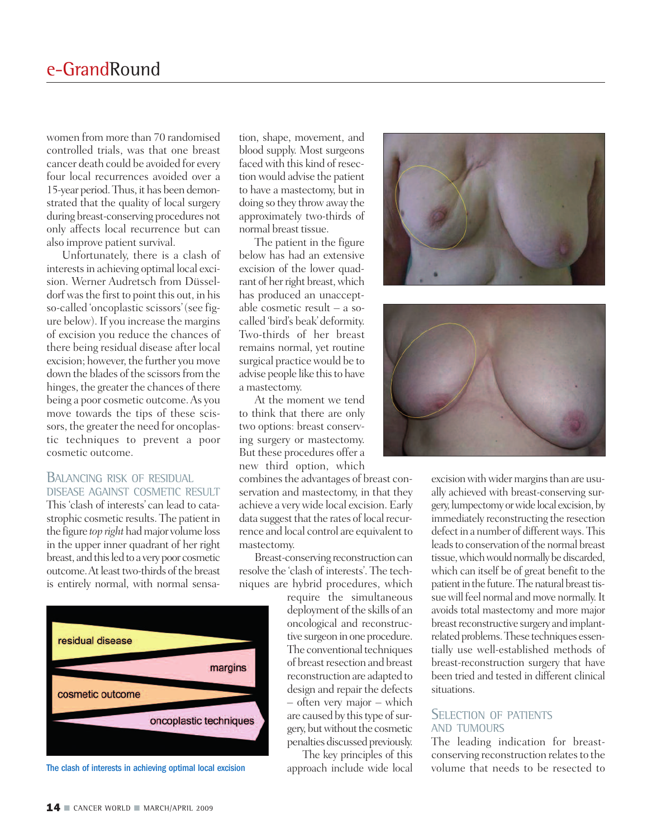women from more than 70 randomised controlled trials, was that one breast cancer death could be avoided for every four local recurrences avoided over a 15-year period.Thus, it has been demonstrated that the quality of local surgery during breast-conserving procedures not only affects local recurrence but can also improve patient survival.

Unfortunately, there is a clash of interests in achieving optimal local excision. Werner Audretsch from Düsseldorf was the first to point this out, in his so-called 'oncoplastic scissors'(see figure below). If you increase the margins of excision you reduce the chances of there being residual disease after local excision; however, the further you move down the blades of the scissors from the hinges, the greater the chances of there being a poor cosmetic outcome.As you move towards the tips of these scissors, the greater the need for oncoplastic techniques to prevent a poor cosmetic outcome.

#### BALANCING RISK OF RESIDUAL DISEASE AGAINST COSMETIC RESULT

This 'clash of interests' can lead to catastrophic cosmetic results. The patient in the figure *top right* hadmajor volume loss in the upper inner quadrant of her right breast, and this led to a very poor cosmetic outcome. At least two-thirds of the breast is entirely normal, with normal sensa-



The clash of interests in achieving optimal local excision

tion, shape, movement, and blood supply. Most surgeons faced with this kind of resection would advise the patient to have a mastectomy, but in doing so they throwaway the approximately two-thirds of normal breast tissue.

The patient in the figure below has had an extensive excision of the lower quadrant of her right breast, which has produced an unacceptable cosmetic result – a socalled 'bird's beak'deformity. Two-thirds of her breast remains normal, yet routine surgical practicewould be to advise people like this to have a mastectomy.

At the moment we tend to think that there are only two options: breast conserving surgery or mastectomy. But these procedures offer a new third option, which

combines the advantages of breast conservation and mastectomy, in that they achieve a verywide local excision. Early data suggest that the rates of local recurrence and local control are equivalent to mastectomy.

Breast-conserving reconstruction can resolve the 'clash of interests'. The techniques are hybrid procedures, which

require the simultaneous deployment of the skills of an oncological and reconstructive surgeon in one procedure. The conventional techniques of breast resection and breast reconstruction are adapted to design and repair the defects – often very major – which are caused by this type of surgery, but without the cosmetic penalties discussed previously.

The key principles of this approach include wide local





excision with wider margins than are usually achieved with breast-conserving surgery, lumpectomy orwide local excision, by immediately reconstructing the resection defect in a number of different ways. This leads to conservation of the normal breast tissue, which would normally be discarded, which can itself be of great benefit to the patient in the future. The natural breast tissue will feel normal and move normally. It avoids total mastectomy and more major breast reconstructive surgery and implantrelated problems. These techniques essentially use well-established methods of breast-reconstruction surgery that have been tried and tested in different clinical situations.

#### SELECTION OF PATIENTS AND TUMOURS

The leading indication for breastconserving reconstruction relates to the volume that needs to be resected to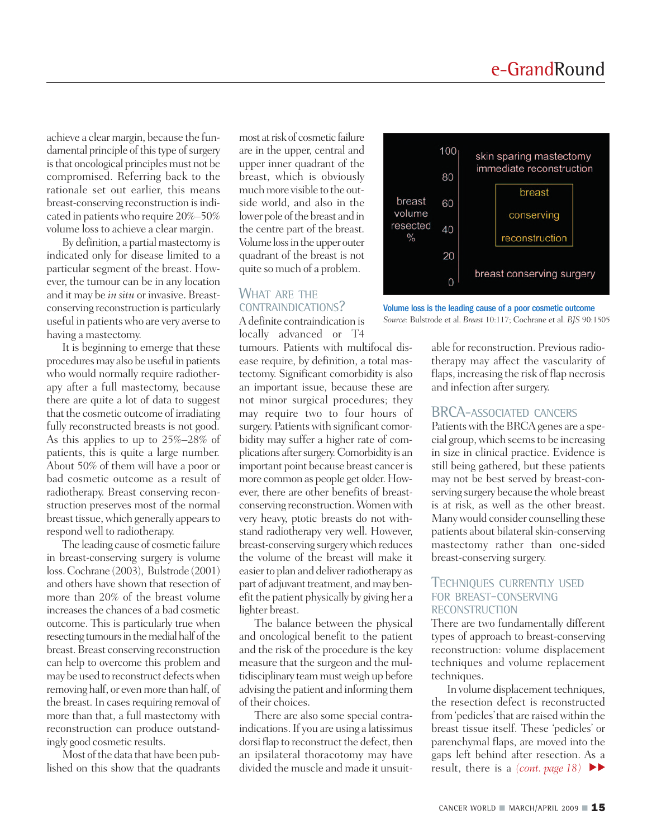achieve a clear margin, because the fundamental principle of this type of surgery is that oncological principles must not be compromised. Referring back to the rationale set out earlier, this means breast-conserving reconstruction is indicated in patientswho require 20%–50% volume loss to achieve a clear margin.

By definition, a partial mastectomy is indicated only for disease limited to a particular segment of the breast. However, the tumour can be in any location and it may be *in situ* or invasive. Breastconserving reconstruction is particularly useful in patients who are very averse to having a mastectomy.

It is beginning to emerge that these procedures may also be useful in patients who would normally require radiotherapy after a full mastectomy, because there are quite a lot of data to suggest that the cosmetic outcome of irradiating fully reconstructed breasts is not good. As this applies to up to 25%–28% of patients, this is quite a large number. About 50% of them will have a poor or bad cosmetic outcome as a result of radiotherapy. Breast conserving reconstruction preserves most of the normal breast tissue, which generally appears to respond well to radiotherapy.

The leading cause of cosmetic failure in breast-conserving surgery is volume loss.Cochrane (2003), Bulstrode (2001) and others have shown that resection of more than 20% of the breast volume increases the chances of a bad cosmetic outcome. This is particularly true when resecting tumours in the medial half of the breast.Breast conserving reconstruction can help to overcome this problem and may be used to reconstruct defectswhen removing half, or even more than half, of the breast. In cases requiring removal of more than that, a full mastectomy with reconstruction can produce outstandingly good cosmetic results.

Most of the data that have been published on this show that the quadrants most atrisk of cosmetic failure are in the upper, central and upper inner quadrant of the breast, which is obviously much more visible to the outside world, and also in the lower pole of the breast and in the centre part of the breast. Volume loss in the upper outer quadrant of the breast is not quite so much of a problem.

#### WHAT ARE THE CONTRAINDICATIONS?

Adefinite contraindication is locally advanced or T4

tumours. Patients with multifocal disease require, by definition, a total mastectomy. Significant comorbidity is also an important issue, because these are not minor surgical procedures; they may require two to four hours of surgery. Patients with significant comorbidity may suffer a higher rate of complications after surgery. Comorbidity is an important point because breast cancer is more common as people get older.However, there are other benefits of breastconserving reconstruction.Womenwith very heavy, ptotic breasts do not withstand radiotherapy very well. However, breast-conserving surgerywhich reduces the volume of the breast will make it easier to plan and deliver radiotherapy as part of adjuvant treatment, and may benefit the patient physically by giving her a lighter breast.

The balance between the physical and oncological benefit to the patient and the risk of the procedure is the key measure that the surgeon and the multidisciplinary teammustweigh up before advising the patient and informing them of their choices.

There are also some special contraindications.If you are using a latissimus dorsi flap to reconstruct the defect, then an ipsilateral thoracotomy may have divided the muscle and made it unsuit-



Volume loss is the leading cause of a poor cosmetic outcome *Source:* Bulstrode et al. *Breast* 10:117; Cochrane et al. *BJS* 90:1505

able for reconstruction. Previous radiotherapy may affect the vascularity of flaps, increasing the risk of flap necrosis and infection after surgery.

### BRCA-ASSOCIATED CANCERS

Patients with the BRCA genes are a special group,which seemsto be increasing in size in clinical practice. Evidence is still being gathered, but these patients may not be best served by breast-conserving surgery because thewhole breast is at risk, as well as the other breast. Manywould consider counselling these patients about bilateral skin-conserving mastectomy rather than one-sided breast-conserving surgery.

#### TECHNIQUES CURRENTLY USED FOR BREAST-CONSERVING **RECONSTRUCTION**

There are two fundamentally different types of approach to breast-conserving reconstruction: volume displacement techniques and volume replacement techniques.

In volume displacement techniques, the resection defect is reconstructed from 'pedicles' that are raised within the breast tissue itself. These 'pedicles' or parenchymal flaps, are moved into the gaps left behind after resection. As a result, there is a *(cont. page 18)* **▼ ▼**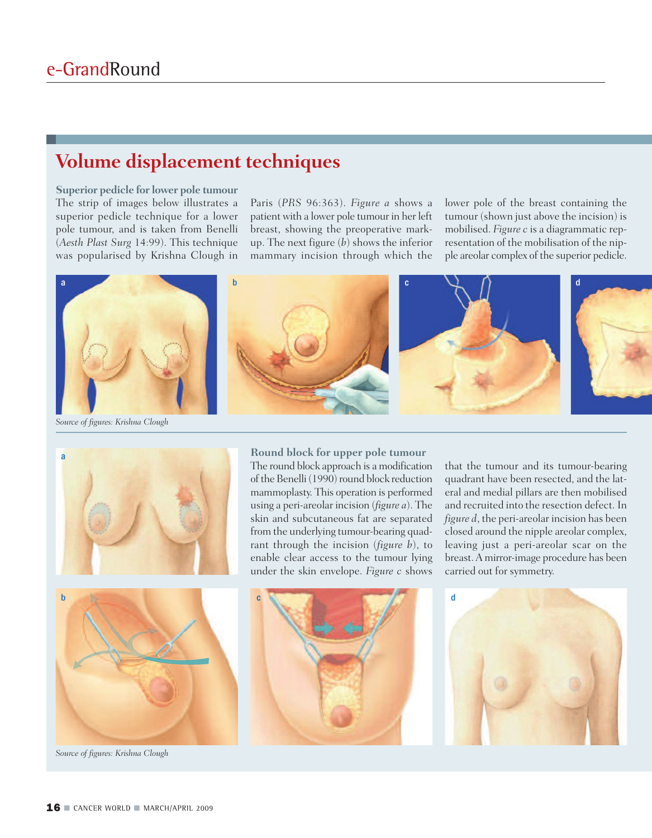## **Volume displacement techniques**

**Superior pedicle for lower pole tumour** The strip of images below illustrates a superior pedicle technique for a lower pole tumour, and is taken from Benelli (*Aesth Plast Surg* 14:99). This technique was popularised by Krishna Clough in

Paris (*PRS* 96:363). *Figure a* shows a patient with a lower pole tumour in her left breast, showing the preoperative markup. The next figure (*b*) shows the inferior mammary incision through which the lower pole of the breast containing the tumour (shown just above the incision) is mobilised. *Figure c* is a diagrammatic representation of the mobilisation of the nipple areolar complex of the superior pedicle.



*Source of figures: Krishna Clough*



**Round block for upper pole tumour** The round block approach is a modification

of the Benelli (1990) round block reduction mammoplasty. This operation is performed using a peri-areolar incision (*figure a*). The skin and subcutaneous fat are separated from the underlying tumour-bearing quadrant through the incision (*figure b*), to enable clear access to the tumour lying under the skin envelope. *Figure c* shows

that the tumour and its tumour-bearing quadrant have been resected, and the lateral and medial pillars are then mobilised and recruited into the resection defect. In *figure d*, the peri-areolar incision has been closed around the nipple areolar complex, leaving just a peri-areolar scar on the breast.A mirror-image procedure has been carried out for symmetry.





*Source of figures: Krishna Clough*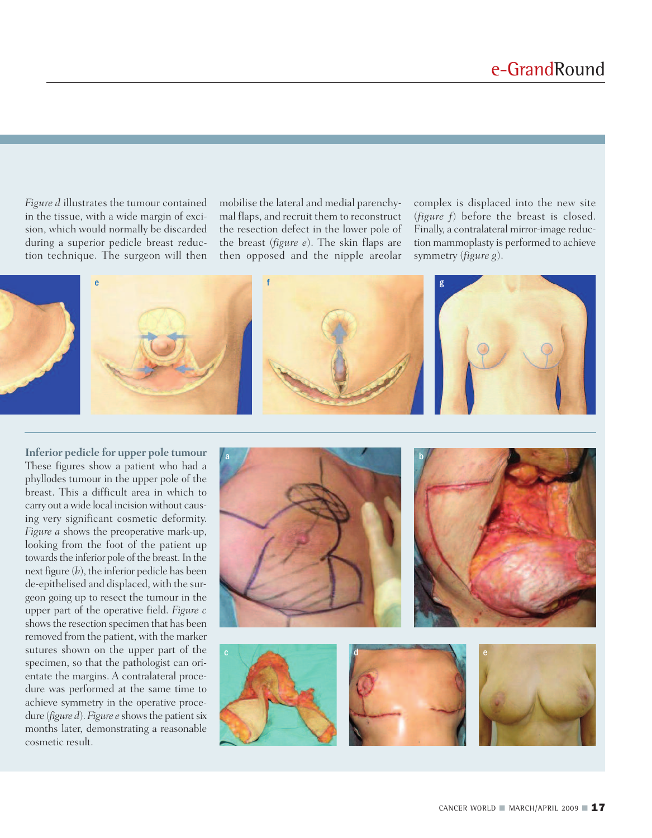*Figure d* illustrates the tumour contained in the tissue, with a wide margin of excision, which would normally be discarded during a superior pedicle breast reduction technique. The surgeon will then mobilise the lateral and medial parenchymal flaps, and recruit them to reconstruct the resection defect in the lower pole of the breast (*figure e*). The skin flaps are then opposed and the nipple areolar

complex is displaced into the new site (*figure f*) before the breast is closed. Finally, a contralateral mirror-image reduction mammoplasty is performed to achieve symmetry (*figure g*).



**Inferior pedicle for upper pole tumour** These figures show a patient who had a phyllodes tumour in the upper pole of the breast. This a difficult area in which to carry out a wide local incision without causing very significant cosmetic deformity. *Figure a* shows the preoperative mark-up, looking from the foot of the patient up towards the inferior pole of the breast. In the next figure (*b*), the inferior pedicle has been de-epithelised and displaced, with the surgeon going up to resect the tumour in the upper part of the operative field. *Figure c* showsthe resection specimen that has been removed from the patient, with the marker sutures shown on the upper part of the specimen, so that the pathologist can orientate the margins. A contralateral procedure was performed at the same time to achieve symmetry in the operative procedure (*figure d*). *Figure e* shows the patient six months later, demonstrating a reasonable cosmetic result.

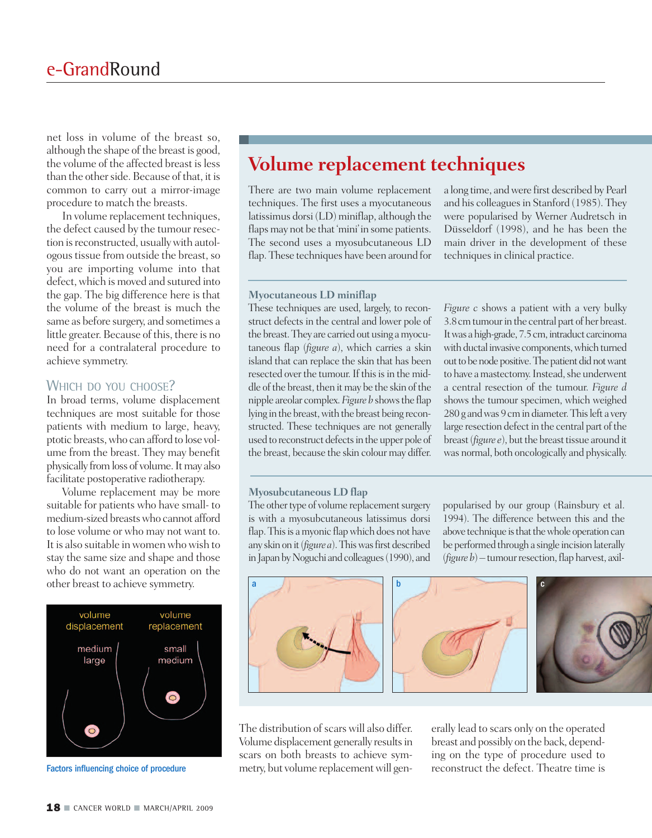net loss in volume of the breast so, although the shape of the breast is good, the volume of the affected breast is less than the other side. Because of that, it is common to carry out a mirror-image procedure to match the breasts.

In volume replacement techniques, the defect caused by the tumour resection is reconstructed, usually with autologous tissue from outside the breast, so you are importing volume into that defect, which is moved and sutured into the gap. The big difference here is that the volume of the breast is much the same as before surgery, and sometimes a little greater. Because of this, there is no need for a contralateral procedure to achieve symmetry.

#### WHICH DO YOU CHOOSE?

In broad terms, volume displacement techniques are most suitable for those patients with medium to large, heavy, ptotic breasts,who can afford to lose volume from the breast. They may benefit physically fromloss of volume.Itmay also facilitate postoperative radiotherapy.

Volume replacement may be more suitable for patients who have small- to medium-sized breastswho cannot afford to lose volume or who may not want to. It is also suitable inwomenwhowish to stay the same size and shape and those who do not want an operation on the other breast to achieve symmetry.



Factors influencing choice of procedure

# **Volume replacement techniques**

There are two main volume replacement techniques. The first uses a myocutaneous latissimus dorsi (LD) miniflap, although the flaps may not be that 'mini' in some patients. The second uses a myosubcutaneous LD flap. These techniques have been around for a long time, andwere first described by Pearl and his colleagues in Stanford (1985). They were popularised by Werner Audretsch in Düsseldorf (1998), and he has been the main driver in the development of these techniques in clinical practice.

#### **Myocutaneous LD miniflap**

These techniques are used, largely, to reconstruct defects in the central and lower pole of the breast.They are carried out using amyocutaneous flap (*figure a*), which carries a skin island that can replace the skin that has been resected over the tumour. If this is in the middle of the breast, then it may be the skin of the nipple areolar complex.*Figure b* showsthe flap lying in the breast,with the breast being reconstructed. These techniques are not generally used to reconstruct defects in the upper pole of the breast, because the skin colour may differ.

*Figure c* shows a patient with a very bulky 3.8cmtumourin the central part of her breast. It was a high-grade, 7.5 cm, intraduct carcinoma with ductal invasive components, which turned out to be node positive. The patient did not want to have a mastectomy. Instead, she underwent a central resection of the tumour. *Figure d* shows the tumour specimen, which weighed 280 g and was 9 cm in diameter. This left a very large resection defect in the central part of the breast (*figure e*), but the breast tissue around it was normal, both oncologically and physically.

#### **Myosubcutaneous LD flap**

The other type of volume replacement surgery is with a myosubcutaneous latissimus dorsi flap. This is a myonic flap which does not have any skin on it (*figure a*). This was first described in Japan by Noguchi and colleagues (1990), and popularised by our group (Rainsbury et al. 1994). The difference between this and the above technique is that the whole operation can be performed through a single incision laterally  $(figure b)$  – tumour resection, flap harvest, axil-



The distribution of scars will also differ. Volume displacement generally results in scars on both breasts to achieve symmetry, but volume replacement will generally lead to scars only on the operated breast and possibly on the back, depending on the type of procedure used to reconstruct the defect. Theatre time is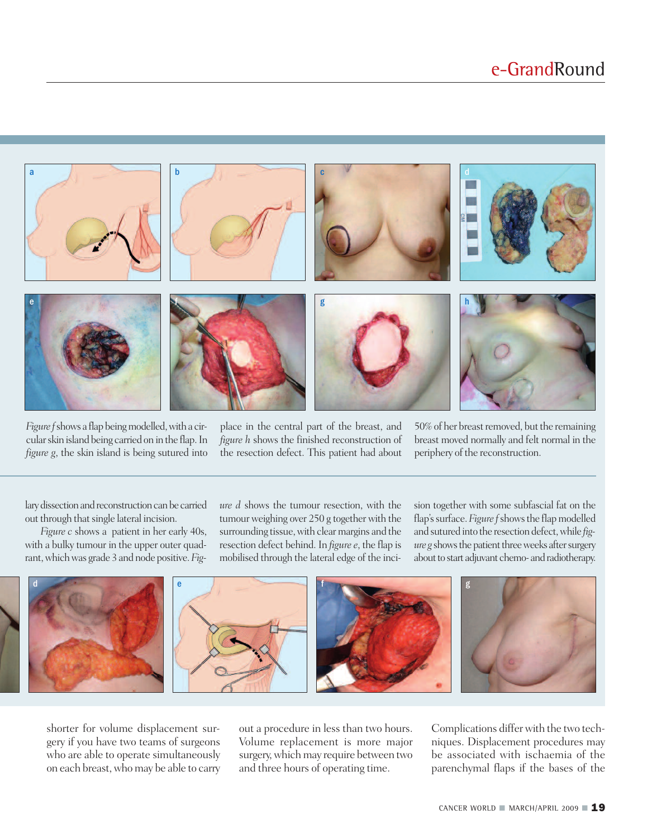

*Figure f* shows a flap being modelled, with a circularskin island being carried on in the flap.In *figure g*, the skin island is being sutured into

place in the central part of the breast, and *figure h* shows the finished reconstruction of the resection defect. This patient had about

50% of her breast removed, but the remaining breast moved normally and felt normal in the periphery of the reconstruction.

lary dissection and reconstruction can be carried out through that single lateral incision.

*Figure c* shows a patient in her early 40s, with a bulky tumour in the upper outer quadrant,whichwas grade 3 and node positive.*Fig-* *ure d* shows the tumour resection, with the tumour weighing over 250 g together with the surrounding tissue, with clear margins and the resection defect behind. In *figure e*, the flap is mobilised through the lateral edge of the incision together with some subfascial fat on the flap's surface. Figure f shows the flap modelled and sutured into the resection defect,while *figure g* shows the patient three weeks after surgery about to start adjuvant chemo- and radiotherapy.



shorter for volume displacement surgery if you have two teams of surgeons who are able to operate simultaneously on each breast,whomay be able to carry out a procedure in less than two hours. Volume replacement is more major surgery, which may require between two and three hours of operating time.

Complications differwith the two techniques. Displacement procedures may be associated with ischaemia of the parenchymal flaps if the bases of the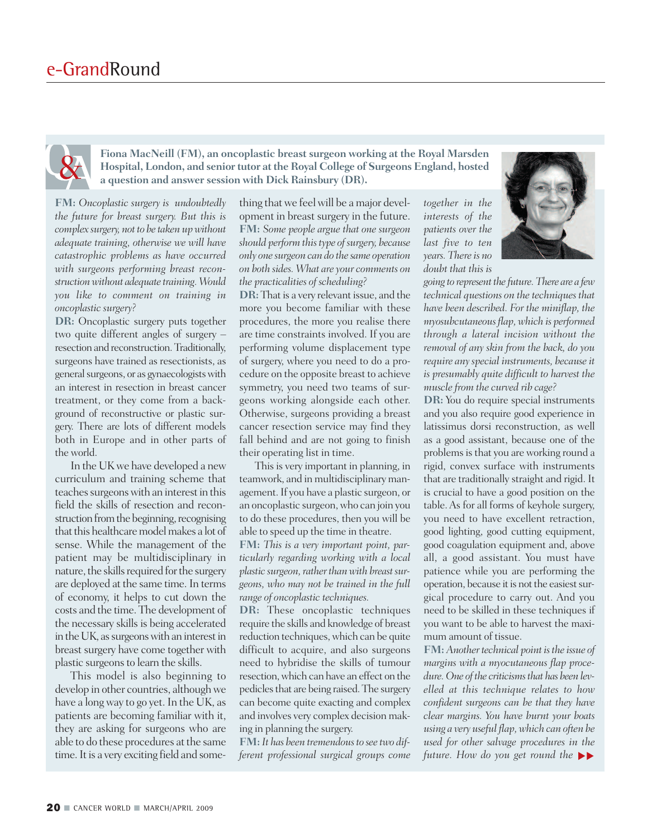**Fiona MacNeill (FM), an oncoplastic breast surgeon working at the Royal Marsden Hospital, London, and senior tutor at the Royal College of Surgeons England, hosted a question and answer session with Dick Rainsbury (DR).**

**FM:** *Oncoplastic surgery is undoubtedly the future for breast surgery. But this is complex surgery, not to be taken upwithout adequate training, otherwise we will have catastrophic problems as have occurred with surgeons performing breast reconstructionwithout adequate training.Would you like to comment on training in oncoplastic surgery?*

**DR:** Oncoplastic surgery puts together two quite different angles of surgery – resection and reconstruction.Traditionally, surgeons have trained as resectionists, as general surgeons, or as gynaecologists with an interest in resection in breast cancer treatment, or they come from a background of reconstructive or plastic surgery. There are lots of different models both in Europe and in other parts of the world.

In the UKwe have developed a new curriculum and training scheme that teaches surgeons with an interest in this field the skills of resection and reconstruction from the beginning, recognising that this healthcare model makes a lot of sense. While the management of the patient may be multidisciplinary in nature, the skills required for the surgery are deployed at the same time.In terms of economy, it helps to cut down the costs and the time. The development of the necessary skills is being accelerated in the UK, as surgeons with an interest in breast surgery have come together with plastic surgeons to learn the skills.

This model is also beginning to develop in other countries, although we have a long way to go yet. In the UK, as patients are becoming familiar with it, they are asking for surgeons who are able to do these procedures at the same time. It is a very exciting field and some-

thing thatwe feelwill be a major development in breast surgery in the future. **FM:** *Some people argue that one surgeon should perform this type of surgery, because only one surgeon can do the same operation on both sides. What are your comments on the practicalities of scheduling?*

**DR:** That is a very relevant issue, and the more you become familiar with these procedures, the more you realise there are time constraints involved. If you are performing volume displacement type of surgery, where you need to do a procedure on the opposite breast to achieve symmetry, you need two teams of surgeons working alongside each other. Otherwise, surgeons providing a breast cancer resection service may find they fall behind and are not going to finish their operating list in time.

This is very important in planning, in teamwork, and in multidisciplinary management.If you have a plastic surgeon, or an oncoplastic surgeon,who can join you to do these procedures, then you will be able to speed up the time in theatre.

**FM:** *This is a very important point, particularly regarding working with a local* plastic surgeon, rather than with breast sur*geons, who may not be trained in the full range of oncoplastic techniques.*

**DR:** These oncoplastic techniques require the skills and knowledge of breast reduction techniques, which can be quite difficult to acquire, and also surgeons need to hybridise the skills of tumour resection, which can have an effect on the pediclesthat are being raised.The surgery can become quite exacting and complex and involves very complex decision making in planning the surgery.

**FM:** *It has been tremendous to see two different professional surgical groups come*

*together in the interests of the patients over the last five to ten years. There is no doubt that this is*



*going to representthe future.There are a few technical questions on the techniques that have been described. For the miniflap, the myosubcutaneous flap,which is performed through a lateral incision without the removal of any skin from the back, do you require anyspecial instruments, because it is presumably quite difficult to harvest the muscle from the curved rib cage?*

**DR:** You do require special instruments and you also require good experience in latissimus dorsi reconstruction, as well as a good assistant, because one of the problems is that you are working round a rigid, convex surface with instruments that are traditionally straight and rigid. It is crucial to have a good position on the table.As for all forms of keyhole surgery, you need to have excellent retraction, good lighting, good cutting equipment, good coagulation equipment and, above all, a good assistant. You must have patience while you are performing the operation, because it is not the easiest surgical procedure to carry out. And you need to be skilled in these techniques if you want to be able to harvest the maximum amount of tissue.

**FM:** *Anothertechnical point isthe issue of margins with a myocutaneous flap procedure.One ofthe criticismsthat has been levelled at this technique relates to how confident surgeons can be that they have clear margins. You have burnt your boats using a very useful flap,which can often be used for other salvage procedures in the future. How do you get round the*  $\blacktriangleright$